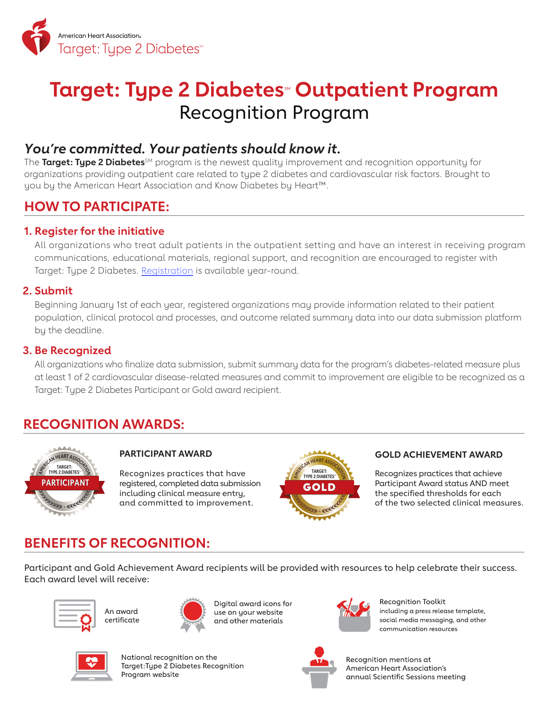

# **Target: Type 2 Diabetes<sup>®</sup> Outpatient Program** Recognition Program

### *You're committed. Your patients should know it.*

The **Target: Type 2 Diabetes**<sup>SM</sup> program is the newest quality improvement and recognition opportunity for organizations providing outpatient care related to type 2 diabetes and cardiovascular risk factors. Brought to you by the American Heart Association and Know Diabetes by Heart™.

### **HOW TO PARTICIPATE:**

### **1. Register for the initiative**

All organizations who treat adult patients in the outpatient setting and have an interest in receiving program communications, educational materials, regional support, and recognition are encouraged to register with Target: Type 2 Diabetes. [Registration](https://americanheart.co1.qualtrics.com/jfe/form/SV_9RgQY2CIMboTBEF) is available year-round.

### **2. Submit**

Beginning January 1st of each year, registered organizations may provide information related to their patient population, clinical protocol and processes, and outcome related summary data into our data submission platform by the deadline.

#### **3. Be Recognized**

All organizations who finalize data submission, submit summary data for the program's diabetes-related measure plus at least 1 of 2 cardiovascular disease-related measures and commit to improvement are eligible to be recognized as a Target: Type 2 Diabetes Participant or Gold award recipient.

### **RECOGNITION AWARDS:**



#### **PARTICIPANT AWARD**

Recognizes practices that have registered, completed data submission including clinical measure entry, and committed to improvement.



#### **GOLD ACHIEVEMENT AWARD**

Recognizes practices that achieve Participant Award status AND meet the specified thresholds for each of the two selected clinical measures.

## **BENEFITS OF RECOGNITION:**

Participant and Gold Achievement Award recipients will be provided with resources to help celebrate their success. Each award level will receive:





Digital award icons for use on your website and other materials



Recognition Toolkit including a press release template, social media messaging, and other communication resources



National recognition on the Target: Type 2 Diabetes Recognition Program website



Recognition mentions at American Heart Association's annual Scientific Sessions meeting